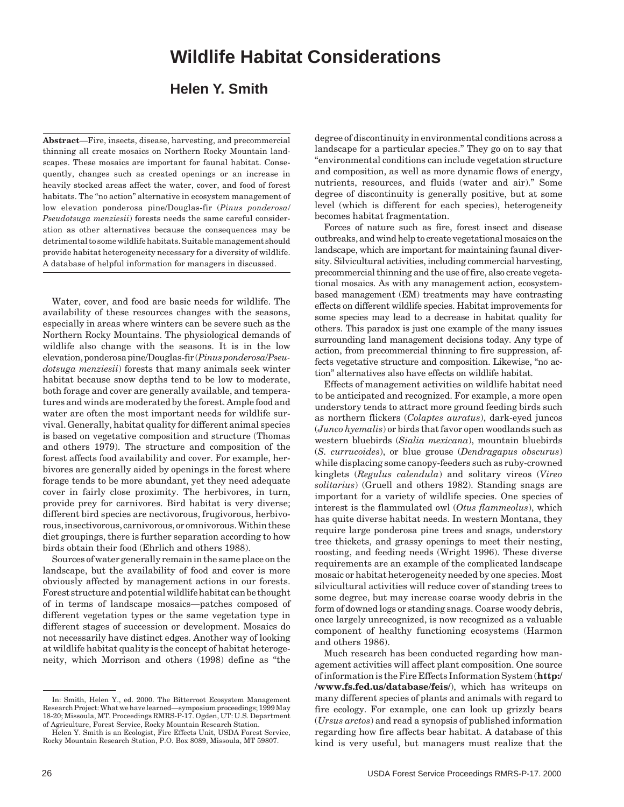## **Wildlife Habitat Considerations**

## **Helen Y. Smith**

**Abstract**—Fire, insects, disease, harvesting, and precommercial thinning all create mosaics on Northern Rocky Mountain landscapes. These mosaics are important for faunal habitat. Consequently, changes such as created openings or an increase in heavily stocked areas affect the water, cover, and food of forest habitats. The "no action" alternative in ecosystem management of low elevation ponderosa pine/Douglas-fir (*Pinus ponderosa*/ *Pseudotsuga menziesii*) forests needs the same careful consideration as other alternatives because the consequences may be detrimental to some wildlife habitats. Suitable management should provide habitat heterogeneity necessary for a diversity of wildlife. A database of helpful information for managers in discussed.

Water, cover, and food are basic needs for wildlife. The availability of these resources changes with the seasons, especially in areas where winters can be severe such as the Northern Rocky Mountains. The physiological demands of wildlife also change with the seasons. It is in the low elevation, ponderosa pine/Douglas-fir (*Pinus ponderosa*/*Pseudotsuga menziesii*) forests that many animals seek winter habitat because snow depths tend to be low to moderate, both forage and cover are generally available, and temperatures and winds are moderated by the forest. Ample food and water are often the most important needs for wildlife survival. Generally, habitat quality for different animal species is based on vegetative composition and structure (Thomas and others 1979). The structure and composition of the forest affects food availability and cover. For example, herbivores are generally aided by openings in the forest where forage tends to be more abundant, yet they need adequate cover in fairly close proximity. The herbivores, in turn, provide prey for carnivores. Bird habitat is very diverse; different bird species are nectivorous, frugivorous, herbivorous, insectivorous, carnivorous, or omnivorous. Within these diet groupings, there is further separation according to how birds obtain their food (Ehrlich and others 1988).

Sources of water generally remain in the same place on the landscape, but the availability of food and cover is more obviously affected by management actions in our forests. Forest structure and potential wildlife habitat can be thought of in terms of landscape mosaics—patches composed of different vegetation types or the same vegetation type in different stages of succession or development. Mosaics do not necessarily have distinct edges. Another way of looking at wildlife habitat quality is the concept of habitat heterogeneity, which Morrison and others (1998) define as "the

degree of discontinuity in environmental conditions across a landscape for a particular species." They go on to say that "environmental conditions can include vegetation structure and composition, as well as more dynamic flows of energy, nutrients, resources, and fluids (water and air)." Some degree of discontinuity is generally positive, but at some level (which is different for each species), heterogeneity becomes habitat fragmentation.

Forces of nature such as fire, forest insect and disease outbreaks, and wind help to create vegetational mosaics on the landscape, which are important for maintaining faunal diversity. Silvicultural activities, including commercial harvesting, precommercial thinning and the use of fire, also create vegetational mosaics. As with any management action, ecosystembased management (EM) treatments may have contrasting effects on different wildlife species. Habitat improvements for some species may lead to a decrease in habitat quality for others. This paradox is just one example of the many issues surrounding land management decisions today. Any type of action, from precommercial thinning to fire suppression, affects vegetative structure and composition. Likewise, "no action" alternatives also have effects on wildlife habitat.

Effects of management activities on wildlife habitat need to be anticipated and recognized. For example, a more open understory tends to attract more ground feeding birds such as northern flickers (*Colaptes auratus*), dark-eyed juncos (*Junco hyemalis*) or birds that favor open woodlands such as western bluebirds (*Sialia mexicana*), mountain bluebirds (*S. currucoides*), or blue grouse (*Dendragapus obscurus*) while displacing some canopy-feeders such as ruby-crowned kinglets (*Regulus calendula*) and solitary vireos (*Vireo solitarius*) (Gruell and others 1982). Standing snags are important for a variety of wildlife species. One species of interest is the flammulated owl (*Otus flammeolus*), which has quite diverse habitat needs. In western Montana, they require large ponderosa pine trees and snags, understory tree thickets, and grassy openings to meet their nesting, roosting, and feeding needs (Wright 1996). These diverse requirements are an example of the complicated landscape mosaic or habitat heterogeneity needed by one species. Most silvicultural activities will reduce cover of standing trees to some degree, but may increase coarse woody debris in the form of downed logs or standing snags. Coarse woody debris, once largely unrecognized, is now recognized as a valuable component of healthy functioning ecosystems (Harmon and others 1986).

Much research has been conducted regarding how management activities will affect plant composition. One source of information is the Fire Effects Information System (**http:/ /www.fs.fed.us/database/feis/**), which has writeups on many different species of plants and animals with regard to fire ecology. For example, one can look up grizzly bears (*Ursus arctos*) and read a synopsis of published information regarding how fire affects bear habitat. A database of this kind is very useful, but managers must realize that the

In: Smith, Helen Y., ed. 2000. The Bitterroot Ecosystem Management Research Project: What we have learned—symposium proceedings; 1999 May 18-20; Missoula, MT. Proceedings RMRS-P-17. Ogden, UT: U.S. Department of Agriculture, Forest Service, Rocky Mountain Research Station.

Helen Y. Smith is an Ecologist, Fire Effects Unit, USDA Forest Service, Rocky Mountain Research Station, P.O. Box 8089, Missoula, MT 59807.